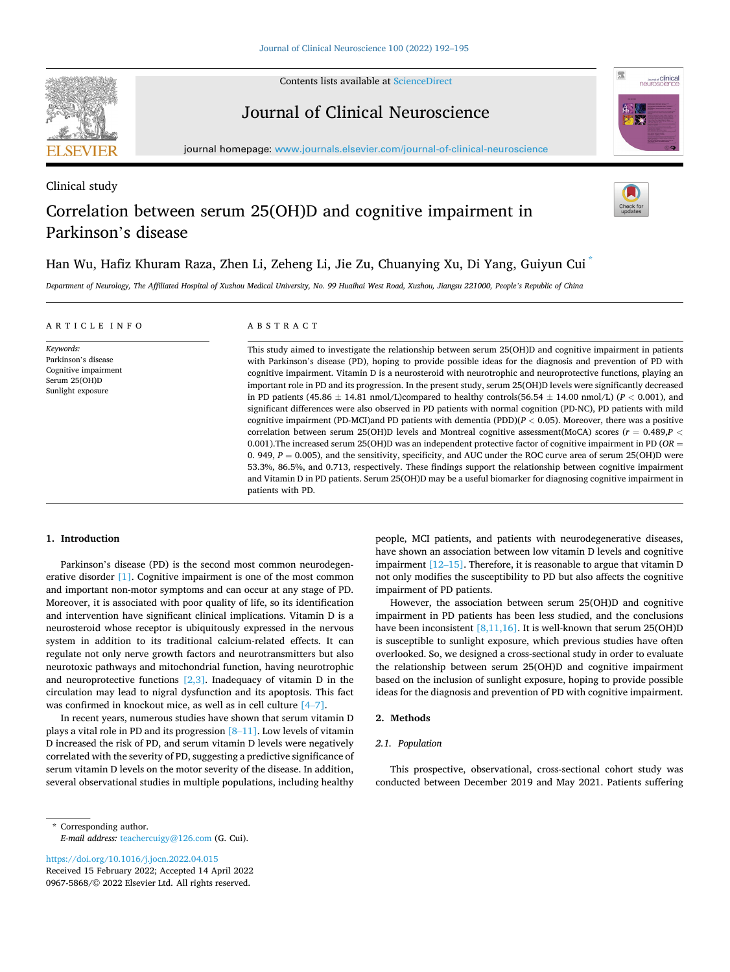

Clinical study

Contents lists available at [ScienceDirect](www.sciencedirect.com/science/journal/09675868)

# Journal of Clinical Neuroscience



journal homepage: [www.journals.elsevier.com/journal-of-clinical-neuroscience](https://www.journals.elsevier.com/journal-of-clinical-neuroscience)

# Correlation between serum 25(OH)D and cognitive impairment in Parkinson's disease



# Han Wu, Hafiz Khuram Raza, Zhen Li, Zeheng Li, Jie Zu, Chuanying Xu, Di Yang, Guiyun Cui \*

*Department of Neurology, The Affiliated Hospital of Xuzhou Medical University, No. 99 Huaihai West Road, Xuzhou, Jiangsu 221000, People's Republic of China* 

| ARTICLE INFO                                                                                   | ABSTRACT                                                                                                                                                                                                                                                                                                                                                                                                                                                                                                                                                                                                                                                                                                                                                                                                                                                                                                                                                                                                                                                                                                                                                                                                                                                                                                                                                                                                                          |
|------------------------------------------------------------------------------------------------|-----------------------------------------------------------------------------------------------------------------------------------------------------------------------------------------------------------------------------------------------------------------------------------------------------------------------------------------------------------------------------------------------------------------------------------------------------------------------------------------------------------------------------------------------------------------------------------------------------------------------------------------------------------------------------------------------------------------------------------------------------------------------------------------------------------------------------------------------------------------------------------------------------------------------------------------------------------------------------------------------------------------------------------------------------------------------------------------------------------------------------------------------------------------------------------------------------------------------------------------------------------------------------------------------------------------------------------------------------------------------------------------------------------------------------------|
| Keywords:<br>Parkinson's disease<br>Cognitive impairment<br>Serum 25(OH)D<br>Sunlight exposure | This study aimed to investigate the relationship between serum 25(OH)D and cognitive impairment in patients<br>with Parkinson's disease (PD), hoping to provide possible ideas for the diagnosis and prevention of PD with<br>cognitive impairment. Vitamin D is a neurosteroid with neurotrophic and neuroprotective functions, playing an<br>important role in PD and its progression. In the present study, serum 25(OH)D levels were significantly decreased<br>in PD patients (45.86 $\pm$ 14.81 nmol/L)compared to healthy controls (56.54 $\pm$ 14.00 nmol/L) (P < 0.001), and<br>significant differences were also observed in PD patients with normal cognition (PD-NC), PD patients with mild<br>cognitive impairment (PD-MCI) and PD patients with dementia (PDD) $(P < 0.05)$ . Moreover, there was a positive<br>correlation between serum 25(OH)D levels and Montreal cognitive assessment(MoCA) scores ( $r = 0.489, P <$<br>0.001). The increased serum 25(OH)D was an independent protective factor of cognitive impairment in PD (OR $=$<br>0. 949, $P = 0.005$ ), and the sensitivity, specificity, and AUC under the ROC curve area of serum 25(OH)D were<br>53.3%, 86.5%, and 0.713, respectively. These findings support the relationship between cognitive impairment<br>and Vitamin D in PD patients. Serum 25(OH)D may be a useful biomarker for diagnosing cognitive impairment in<br>patients with PD. |

# **1. Introduction**

Parkinson's disease (PD) is the second most common neurodegen-erative disorder [\[1\]](#page-3-0). Cognitive impairment is one of the most common and important non-motor symptoms and can occur at any stage of PD. Moreover, it is associated with poor quality of life, so its identification and intervention have significant clinical implications. Vitamin D is a neurosteroid whose receptor is ubiquitously expressed in the nervous system in addition to its traditional calcium-related effects. It can regulate not only nerve growth factors and neurotransmitters but also neurotoxic pathways and mitochondrial function, having neurotrophic and neuroprotective functions  $[2,3]$ . Inadequacy of vitamin D in the circulation may lead to nigral dysfunction and its apoptosis. This fact was confirmed in knockout mice, as well as in cell culture [\[4](#page-3-0)–7].

In recent years, numerous studies have shown that serum vitamin D plays a vital role in PD and its progression [8–[11\]](#page-3-0). Low levels of vitamin D increased the risk of PD, and serum vitamin D levels were negatively correlated with the severity of PD, suggesting a predictive significance of serum vitamin D levels on the motor severity of the disease. In addition, several observational studies in multiple populations, including healthy

\* Corresponding author. *E-mail address:* [teachercuigy@126.com](mailto:teachercuigy@126.com) (G. Cui).

0967-5868/© 2022 Elsevier Ltd. All rights reserved. <https://doi.org/10.1016/j.jocn.2022.04.015> Received 15 February 2022; Accepted 14 April 2022 people, MCI patients, and patients with neurodegenerative diseases, have shown an association between low vitamin D levels and cognitive impairment [\[12](#page-3-0)–15]. Therefore, it is reasonable to argue that vitamin D not only modifies the susceptibility to PD but also affects the cognitive impairment of PD patients.

However, the association between serum 25(OH)D and cognitive impairment in PD patients has been less studied, and the conclusions have been inconsistent  $[8,11,16]$ . It is well-known that serum 25(OH)D is susceptible to sunlight exposure, which previous studies have often overlooked. So, we designed a cross-sectional study in order to evaluate the relationship between serum 25(OH)D and cognitive impairment based on the inclusion of sunlight exposure, hoping to provide possible ideas for the diagnosis and prevention of PD with cognitive impairment.

# **2. Methods**

# *2.1. Population*

This prospective, observational, cross-sectional cohort study was conducted between December 2019 and May 2021. Patients suffering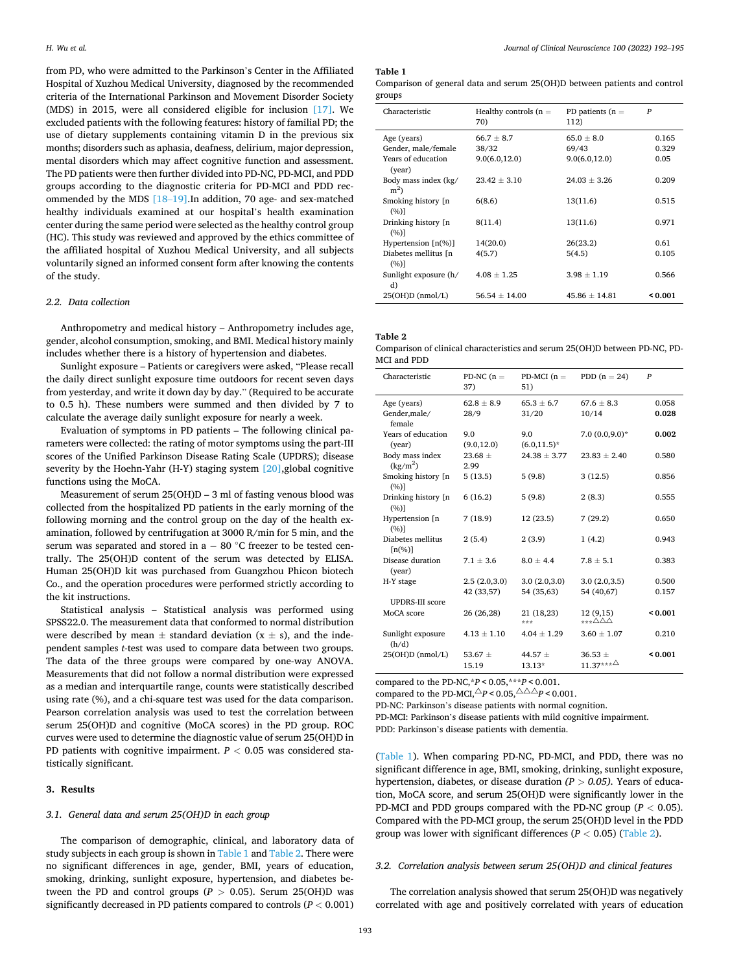from PD, who were admitted to the Parkinson's Center in the Affiliated Hospital of Xuzhou Medical University, diagnosed by the recommended criteria of the International Parkinson and Movement Disorder Society (MDS) in 2015, were all considered eligible for inclusion [\[17\]](#page-3-0). We excluded patients with the following features: history of familial PD; the use of dietary supplements containing vitamin D in the previous six months; disorders such as aphasia, deafness, delirium, major depression, mental disorders which may affect cognitive function and assessment. The PD patients were then further divided into PD-NC, PD-MCI, and PDD groups according to the diagnostic criteria for PD-MCI and PDD recommended by the MDS [\[18](#page-3-0)–19].In addition, 70 age- and sex-matched healthy individuals examined at our hospital's health examination center during the same period were selected as the healthy control group (HC). This study was reviewed and approved by the ethics committee of the affiliated hospital of Xuzhou Medical University, and all subjects voluntarily signed an informed consent form after knowing the contents of the study.

# *2.2. Data collection*

Anthropometry and medical history – Anthropometry includes age, gender, alcohol consumption, smoking, and BMI. Medical history mainly includes whether there is a history of hypertension and diabetes.

Sunlight exposure – Patients or caregivers were asked, "Please recall the daily direct sunlight exposure time outdoors for recent seven days from yesterday, and write it down day by day." (Required to be accurate to 0.5 h). These numbers were summed and then divided by 7 to calculate the average daily sunlight exposure for nearly a week.

Evaluation of symptoms in PD patients – The following clinical parameters were collected: the rating of motor symptoms using the part-III scores of the Unified Parkinson Disease Rating Scale (UPDRS); disease severity by the Hoehn-Yahr (H-Y) staging system [\[20\],](#page-3-0)global cognitive functions using the MoCA.

Measurement of serum 25(OH)D – 3 ml of fasting venous blood was collected from the hospitalized PD patients in the early morning of the following morning and the control group on the day of the health examination, followed by centrifugation at 3000 R/min for 5 min, and the serum was separated and stored in a − 80 °C freezer to be tested centrally. The 25(OH)D content of the serum was detected by ELISA. Human 25(OH)D kit was purchased from Guangzhou Phicon biotech Co., and the operation procedures were performed strictly according to the kit instructions.

Statistical analysis – Statistical analysis was performed using SPSS22.0. The measurement data that conformed to normal distribution were described by mean  $\pm$  standard deviation (x  $\pm$  s), and the independent samples *t*-test was used to compare data between two groups. The data of the three groups were compared by one-way ANOVA. Measurements that did not follow a normal distribution were expressed as a median and interquartile range, counts were statistically described using rate (%), and a chi-square test was used for the data comparison. Pearson correlation analysis was used to test the correlation between serum 25(OH)D and cognitive (MoCA scores) in the PD group. ROC curves were used to determine the diagnostic value of serum 25(OH)D in PD patients with cognitive impairment. *P <* 0.05 was considered statistically significant.

#### **3. Results**

#### *3.1. General data and serum 25(OH)D in each group*

The comparison of demographic, clinical, and laboratory data of study subjects in each group is shown in Table 1 and Table 2. There were no significant differences in age, gender, BMI, years of education, smoking, drinking, sunlight exposure, hypertension, and diabetes between the PD and control groups ( $P > 0.05$ ). Serum 25(OH)D was significantly decreased in PD patients compared to controls (*P <* 0.001)

#### **Table 1**

| Comparison of general data and serum 25(OH)D between patients and control |  |  |  |  |
|---------------------------------------------------------------------------|--|--|--|--|
| groups                                                                    |  |  |  |  |

| Characteristic                            | Healthy controls $(n =$<br>70) | PD patients $(n =$<br>112) | $\boldsymbol{P}$ |
|-------------------------------------------|--------------------------------|----------------------------|------------------|
| Age (years)                               | $66.7 \pm 8.7$                 | $65.0 \pm 8.0$             | 0.165            |
| Gender, male/female                       | 38/32                          | 69/43                      | 0.329            |
| Years of education<br>(year)              | 9.0(6.0, 12.0)                 | 9.0(6.0, 12.0)             | 0.05             |
| Body mass index (kg/<br>m <sup>2</sup>    | $23.42 \pm 3.10$               | $24.03 \pm 3.26$           | 0.209            |
| Smoking history [n]<br>(%)]               | 6(8.6)                         | 13(11.6)                   | 0.515            |
| Drinking history [n]<br>(%)]              | 8(11.4)                        | 13(11.6)                   | 0.971            |
| Hypertension $\lceil n\frac{1}{2} \rceil$ | 14(20.0)                       | 26(23.2)                   | 0.61             |
| Diabetes mellitus In<br>(%)]              | 4(5.7)                         | 5(4.5)                     | 0.105            |
| Sunlight exposure (h/<br>d)               | $4.08 + 1.25$                  | $3.98 + 1.19$              | 0.566            |
| $25(OH)D$ (nmol/L)                        | $56.54 + 14.00$                | $45.86 + 14.81$            | < 0.001          |

**Table 2** 

Comparison of clinical characteristics and serum 25(OH)D between PD-NC, PD-MCI and PDD

| Characteristic                                     | PD-NC $(n =$<br>37)        | PD-MCI $(n =$<br>51)       | PDD $(n = 24)$                     | $\boldsymbol{P}$ |
|----------------------------------------------------|----------------------------|----------------------------|------------------------------------|------------------|
| Age (years)<br>Gender, male/<br>female             | $62.8 \pm 8.9$<br>28/9     | $65.3 \pm 6.7$<br>31/20    | $67.6 + 8.3$<br>10/14              | 0.058<br>0.028   |
| Years of education<br>(year)                       | 9.0<br>(9.0, 12.0)         | 9.0<br>$(6.0, 11.5)^*$     | $7.0(0.0, 9.0)*$                   | 0.002            |
| Body mass index<br>(kg/m <sup>2</sup> )            | $23.68 \pm$<br>2.99        | $24.38 \pm 3.77$           | $23.83 \pm 2.40$                   | 0.580            |
| Smoking history [n]<br>(%)]                        | 5(13.5)                    | 5(9.8)                     | 3(12.5)                            | 0.856            |
| Drinking history [n]<br>(%)]                       | 6(16.2)                    | 5(9.8)                     | 2(8.3)                             | 0.555            |
| Hypertension [n<br>(%)]                            | 7 (18.9)                   | 12(23.5)                   | 7(29.2)                            | 0.650            |
| Diabetes mellitus<br>$\lceil n\binom{0}{0} \rceil$ | 2(5.4)                     | 2(3.9)                     | 1(4.2)                             | 0.943            |
| Disease duration<br>(year)                         | $7.1 \pm 3.6$              | $8.0 \pm 4.4$              | $7.8 \pm 5.1$                      | 0.383            |
| H-Y stage<br><b>UPDRS-III score</b>                | 2.5(2.0,3.0)<br>42 (33,57) | 3.0(2.0,3.0)<br>54 (35,63) | 3.0(2.0,3.5)<br>54 (40,67)         | 0.500<br>0.157   |
| MoCA score                                         | 26 (26,28)                 | 21 (18,23)<br>***          | 12 (9,15)<br>***∆∆∆                | ${}_{0.001}$     |
| Sunlight exposure<br>(h/d)                         | $4.13 \pm 1.10$            | $4.04 \pm 1.29$            | $3.60 \pm 1.07$                    | 0.210            |
| $25(OH)D$ (nmol/L)                                 | 53.67 $\pm$<br>15.19       | 44.57 $\pm$<br>13.13*      | $36.53 \pm$<br>$11.37***\triangle$ | ${}_{0.001}$     |

compared to the PD-NC,\**P*<0.05,\*\*\**P*<0.001.

compared to the PD-MCI, $\triangle p < 0.05$ ,  $\triangle \triangle \triangle p < 0.001$ .

PD-NC: Parkinson's disease patients with normal cognition.

PD-MCI: Parkinson's disease patients with mild cognitive impairment.

PDD: Parkinson's disease patients with dementia.

(Table 1). When comparing PD-NC, PD-MCI, and PDD, there was no significant difference in age, BMI, smoking, drinking, sunlight exposure, hypertension, diabetes, or disease duration *(P > 0.05).* Years of education, MoCA score, and serum 25(OH)D were significantly lower in the PD-MCI and PDD groups compared with the PD-NC group (*P <* 0.05). Compared with the PD-MCI group, the serum 25(OH)D level in the PDD group was lower with significant differences  $(P < 0.05)$  (Table 2).

# *3.2. Correlation analysis between serum 25(OH)D and clinical features*

The correlation analysis showed that serum 25(OH)D was negatively correlated with age and positively correlated with years of education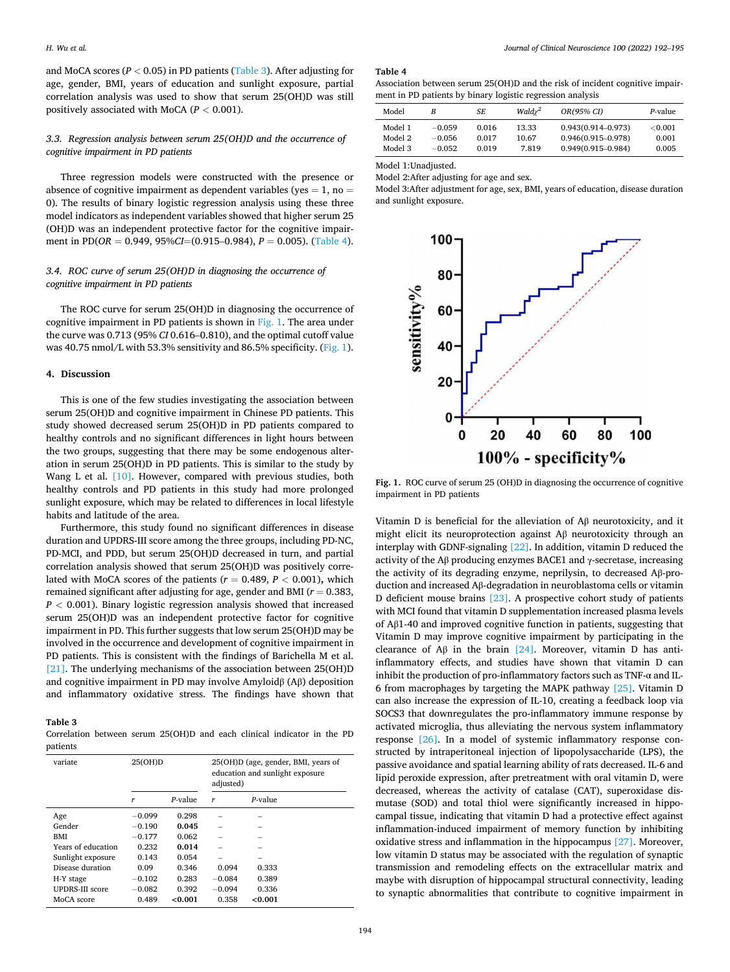and MoCA scores ( $P < 0.05$ ) in PD patients (Table 3). After adjusting for age, gender, BMI, years of education and sunlight exposure, partial correlation analysis was used to show that serum 25(OH)D was still positively associated with MoCA (*P <* 0.001).

# *3.3. Regression analysis between serum 25(OH)D and the occurrence of cognitive impairment in PD patients*

Three regression models were constructed with the presence or absence of cognitive impairment as dependent variables (yes  $= 1$ , no  $=$ 0). The results of binary logistic regression analysis using these three model indicators as independent variables showed that higher serum 25 (OH)D was an independent protective factor for the cognitive impairment in PD(*OR* = 0.949, 95%*CI*=(0.915–0.984), *P* = 0.005). (Table 4).

# *3.4. ROC curve of serum 25(OH)D in diagnosing the occurrence of cognitive impairment in PD patients*

The ROC curve for serum 25(OH)D in diagnosing the occurrence of cognitive impairment in PD patients is shown in Fig. 1. The area under the curve was 0.713 (95% *CI* 0.616–0.810), and the optimal cutoff value was 40.75 nmol/L with 53.3% sensitivity and 86.5% specificity. (Fig. 1).

### **4. Discussion**

This is one of the few studies investigating the association between serum 25(OH)D and cognitive impairment in Chinese PD patients. This study showed decreased serum 25(OH)D in PD patients compared to healthy controls and no significant differences in light hours between the two groups, suggesting that there may be some endogenous alteration in serum 25(OH)D in PD patients. This is similar to the study by Wang L et al. [\[10\]](#page-3-0). However, compared with previous studies, both healthy controls and PD patients in this study had more prolonged sunlight exposure, which may be related to differences in local lifestyle habits and latitude of the area.

Furthermore, this study found no significant differences in disease duration and UPDRS-III score among the three groups, including PD-NC, PD-MCI, and PDD, but serum 25(OH)D decreased in turn, and partial correlation analysis showed that serum 25(OH)D was positively correlated with MoCA scores of the patients  $(r = 0.489, P < 0.001)$ , which remained significant after adjusting for age, gender and BMI (*r* = 0.383, *P <* 0.001). Binary logistic regression analysis showed that increased serum 25(OH)D was an independent protective factor for cognitive impairment in PD. This further suggests that low serum 25(OH)D may be involved in the occurrence and development of cognitive impairment in PD patients. This is consistent with the findings of Barichella M et al. [\[21\]](#page-3-0). The underlying mechanisms of the association between 25(OH)D and cognitive impairment in PD may involve Amyloidβ (Aβ) deposition and inflammatory oxidative stress. The findings have shown that

# **Table 3**

Correlation between serum 25(OH)D and each clinical indicator in the PD patients

| variate                | 25(OH)D  |           | adjusted) | 25(OH)D (age, gender, BMI, years of<br>education and sunlight exposure |
|------------------------|----------|-----------|-----------|------------------------------------------------------------------------|
|                        | r        | $P-value$ | r         | $P$ -value                                                             |
| Age                    | $-0.099$ | 0.298     |           |                                                                        |
| Gender                 | $-0.190$ | 0.045     |           |                                                                        |
| <b>BMI</b>             | $-0.177$ | 0.062     |           |                                                                        |
| Years of education     | 0.232    | 0.014     |           |                                                                        |
| Sunlight exposure      | 0.143    | 0.054     |           | -                                                                      |
| Disease duration       | 0.09     | 0.346     | 0.094     | 0.333                                                                  |
| H-Y stage              | $-0.102$ | 0.283     | $-0.084$  | 0.389                                                                  |
| <b>UPDRS-III score</b> | $-0.082$ | 0.392     | $-0.094$  | 0.336                                                                  |
| MoCA score             | 0.489    | <0.001    | 0.358     | <0.001                                                                 |

#### **Table 4**

Association between serum 25(OH)D and the risk of incident cognitive impairment in PD patients by binary logistic regression analysis

| Model   | В        | SE    | Wald $\chi^2$ | OR(95% CI)             | P-value        |
|---------|----------|-------|---------------|------------------------|----------------|
| Model 1 | $-0.059$ | 0.016 | 13.33         | $0.943(0.914 - 0.973)$ | $<$ 0.001 $\,$ |
| Model 2 | $-0.056$ | 0.017 | 10.67         | $0.946(0.915 - 0.978)$ | 0.001          |
| Model 3 | $-0.052$ | 0.019 | 7.819         | $0.949(0.915 - 0.984)$ | 0.005          |

Model 1:Unadjusted.

Model 2:After adjusting for age and sex.

Model 3:After adjustment for age, sex, BMI, years of education, disease duration and sunlight exposure.



**Fig. 1.** ROC curve of serum 25 (OH)D in diagnosing the occurrence of cognitive impairment in PD patients

Vitamin D is beneficial for the alleviation of Aβ neurotoxicity, and it might elicit its neuroprotection against Aβ neurotoxicity through an interplay with GDNF-signaling [\[22\].](#page-3-0) In addition, vitamin D reduced the activity of the A $\beta$  producing enzymes BACE1 and  $\gamma$ -secretase, increasing the activity of its degrading enzyme, neprilysin, to decreased Aβ-production and increased Aβ-degradation in neuroblastoma cells or vitamin D deficient mouse brains [\[23\].](#page-3-0) A prospective cohort study of patients with MCI found that vitamin D supplementation increased plasma levels of Aβ1-40 and improved cognitive function in patients, suggesting that Vitamin D may improve cognitive impairment by participating in the clearance of A $\beta$  in the brain [\[24\].](#page-3-0) Moreover, vitamin D has antiinflammatory effects, and studies have shown that vitamin D can inhibit the production of pro-inflammatory factors such as TNF-α and IL-6 from macrophages by targeting the MAPK pathway [\[25\]](#page-3-0). Vitamin D can also increase the expression of IL-10, creating a feedback loop via SOCS3 that downregulates the pro-inflammatory immune response by activated microglia, thus alleviating the nervous system inflammatory response [\[26\]](#page-3-0). In a model of systemic inflammatory response constructed by intraperitoneal injection of lipopolysaccharide (LPS), the passive avoidance and spatial learning ability of rats decreased. IL-6 and lipid peroxide expression, after pretreatment with oral vitamin D, were decreased, whereas the activity of catalase (CAT), superoxidase dismutase (SOD) and total thiol were significantly increased in hippocampal tissue, indicating that vitamin D had a protective effect against inflammation-induced impairment of memory function by inhibiting oxidative stress and inflammation in the hippocampus [\[27\].](#page-3-0) Moreover, low vitamin D status may be associated with the regulation of synaptic transmission and remodeling effects on the extracellular matrix and maybe with disruption of hippocampal structural connectivity, leading to synaptic abnormalities that contribute to cognitive impairment in